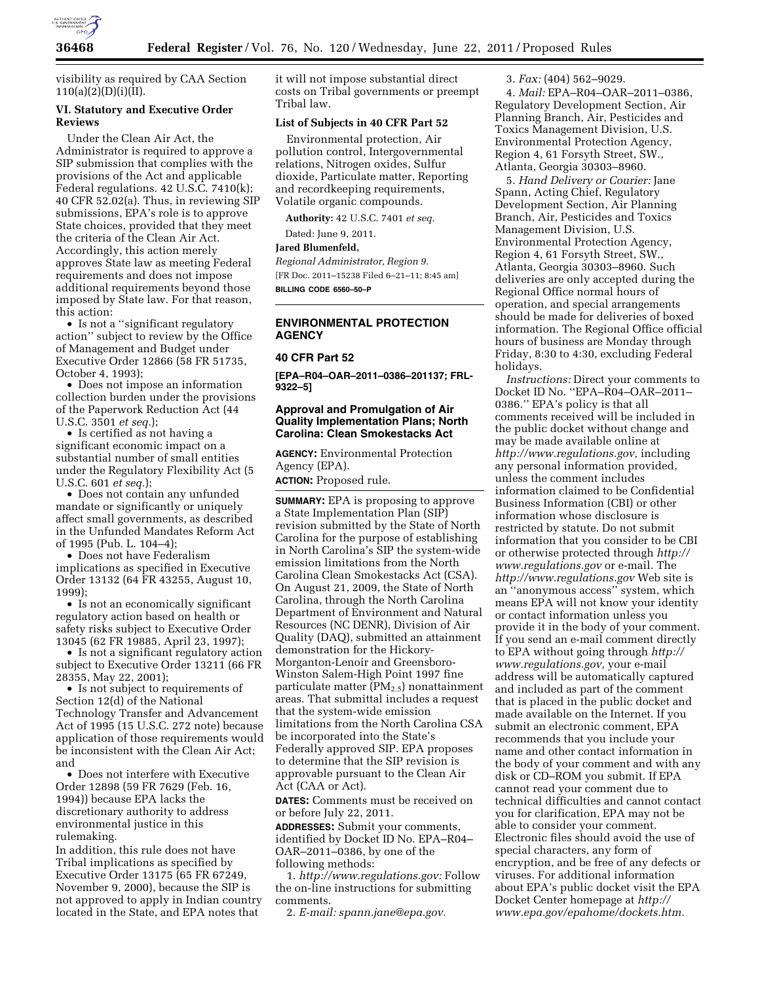

visibility as required by CAA Section  $110(a)(2)(D)(i)(II).$ 

## **VI. Statutory and Executive Order Reviews**

Under the Clean Air Act, the Administrator is required to approve a SIP submission that complies with the provisions of the Act and applicable Federal regulations. 42 U.S.C. 7410(k); 40 CFR 52.02(a). Thus, in reviewing SIP submissions, EPA's role is to approve State choices, provided that they meet the criteria of the Clean Air Act. Accordingly, this action merely approves State law as meeting Federal requirements and does not impose additional requirements beyond those imposed by State law. For that reason, this action:

• Is not a "significant regulatory" action'' subject to review by the Office of Management and Budget under Executive Order 12866 (58 FR 51735, October 4, 1993);

• Does not impose an information collection burden under the provisions of the Paperwork Reduction Act (44 U.S.C. 3501 *et seq.*);

• Is certified as not having a significant economic impact on a substantial number of small entities under the Regulatory Flexibility Act (5 U.S.C. 601 *et seq.*);

• Does not contain any unfunded mandate or significantly or uniquely affect small governments, as described in the Unfunded Mandates Reform Act of 1995 (Pub. L. 104–4);

• Does not have Federalism implications as specified in Executive Order 13132 (64 FR 43255, August 10, 1999);

• Is not an economically significant regulatory action based on health or safety risks subject to Executive Order 13045 (62 FR 19885, April 23, 1997);

• Is not a significant regulatory action subject to Executive Order 13211 (66 FR 28355, May 22, 2001);

• Is not subject to requirements of Section 12(d) of the National Technology Transfer and Advancement Act of 1995 (15 U.S.C. 272 note) because application of those requirements would be inconsistent with the Clean Air Act; and

• Does not interfere with Executive Order 12898 (59 FR 7629 (Feb. 16, 1994)) because EPA lacks the discretionary authority to address environmental justice in this rulemaking.

In addition, this rule does not have Tribal implications as specified by Executive Order 13175 (65 FR 67249, November 9, 2000), because the SIP is not approved to apply in Indian country located in the State, and EPA notes that

it will not impose substantial direct costs on Tribal governments or preempt Tribal law.

### **List of Subjects in 40 CFR Part 52**

Environmental protection, Air pollution control, Intergovernmental relations, Nitrogen oxides, Sulfur dioxide, Particulate matter, Reporting and recordkeeping requirements, Volatile organic compounds.

**Authority:** 42 U.S.C. 7401 *et seq.* 

Dated: June 9, 2011.

### **Jared Blumenfeld,**

*Regional Administrator, Region 9.*  [FR Doc. 2011–15238 Filed 6–21–11; 8:45 am] **BILLING CODE 6560–50–P** 

### **ENVIRONMENTAL PROTECTION AGENCY**

### **40 CFR Part 52**

**[EPA–R04–OAR–2011–0386–201137; FRL-9322–5]** 

## **Approval and Promulgation of Air Quality Implementation Plans; North Carolina: Clean Smokestacks Act**

**AGENCY:** Environmental Protection Agency (EPA).

**ACTION:** Proposed rule.

**SUMMARY:** EPA is proposing to approve a State Implementation Plan (SIP) revision submitted by the State of North Carolina for the purpose of establishing in North Carolina's SIP the system-wide emission limitations from the North Carolina Clean Smokestacks Act (CSA). On August 21, 2009, the State of North Carolina, through the North Carolina Department of Environment and Natural Resources (NC DENR), Division of Air Quality (DAQ), submitted an attainment demonstration for the Hickory-Morganton-Lenoir and Greensboro-Winston Salem-High Point 1997 fine particulate matter  $(PM_{2.5})$  nonattainment areas. That submittal includes a request that the system-wide emission limitations from the North Carolina CSA be incorporated into the State's Federally approved SIP. EPA proposes to determine that the SIP revision is approvable pursuant to the Clean Air Act (CAA or Act).

**DATES:** Comments must be received on or before July 22, 2011.

**ADDRESSES:** Submit your comments, identified by Docket ID No. EPA–R04– OAR–2011–0386, by one of the following methods:

1. *[http://www.regulations.gov:](http://www.regulations.gov)* Follow the on-line instructions for submitting comments.

2. *E-mail: [spann.jane@epa.gov.](mailto:spann.jane@epa.gov)* 

3. *Fax:* (404) 562–9029.

4. *Mail:* EPA–R04–OAR–2011–0386, Regulatory Development Section, Air Planning Branch, Air, Pesticides and Toxics Management Division, U.S. Environmental Protection Agency, Region 4, 61 Forsyth Street, SW., Atlanta, Georgia 30303–8960.

5. *Hand Delivery or Courier:* Jane Spann, Acting Chief, Regulatory Development Section, Air Planning Branch, Air, Pesticides and Toxics Management Division, U.S. Environmental Protection Agency, Region 4, 61 Forsyth Street, SW., Atlanta, Georgia 30303–8960. Such deliveries are only accepted during the Regional Office normal hours of operation, and special arrangements should be made for deliveries of boxed information. The Regional Office official hours of business are Monday through Friday, 8:30 to 4:30, excluding Federal holidays.

*Instructions:* Direct your comments to Docket ID No. ''EPA–R04–OAR–2011– 0386.'' EPA's policy is that all comments received will be included in the public docket without change and may be made available online at *[http://www.regulations.gov,](http://www.regulations.gov)* including any personal information provided, unless the comment includes information claimed to be Confidential Business Information (CBI) or other information whose disclosure is restricted by statute. Do not submit information that you consider to be CBI or otherwise protected through *[http://](http://www.regulations.gov)  [www.regulations.gov](http://www.regulations.gov)* or e-mail. The *<http://www.regulations.gov>* Web site is an ''anonymous access'' system, which means EPA will not know your identity or contact information unless you provide it in the body of your comment. If you send an e-mail comment directly to EPA without going through *[http://](http://www.regulations.gov) [www.regulations.gov,](http://www.regulations.gov)* your e-mail address will be automatically captured and included as part of the comment that is placed in the public docket and made available on the Internet. If you submit an electronic comment, EPA recommends that you include your name and other contact information in the body of your comment and with any disk or CD–ROM you submit. If EPA cannot read your comment due to technical difficulties and cannot contact you for clarification, EPA may not be able to consider your comment. Electronic files should avoid the use of special characters, any form of encryption, and be free of any defects or viruses. For additional information about EPA's public docket visit the EPA Docket Center homepage at *[http://](http://www.epa.gov/epahome/dockets.htm) [www.epa.gov/epahome/dockets.htm.](http://www.epa.gov/epahome/dockets.htm)*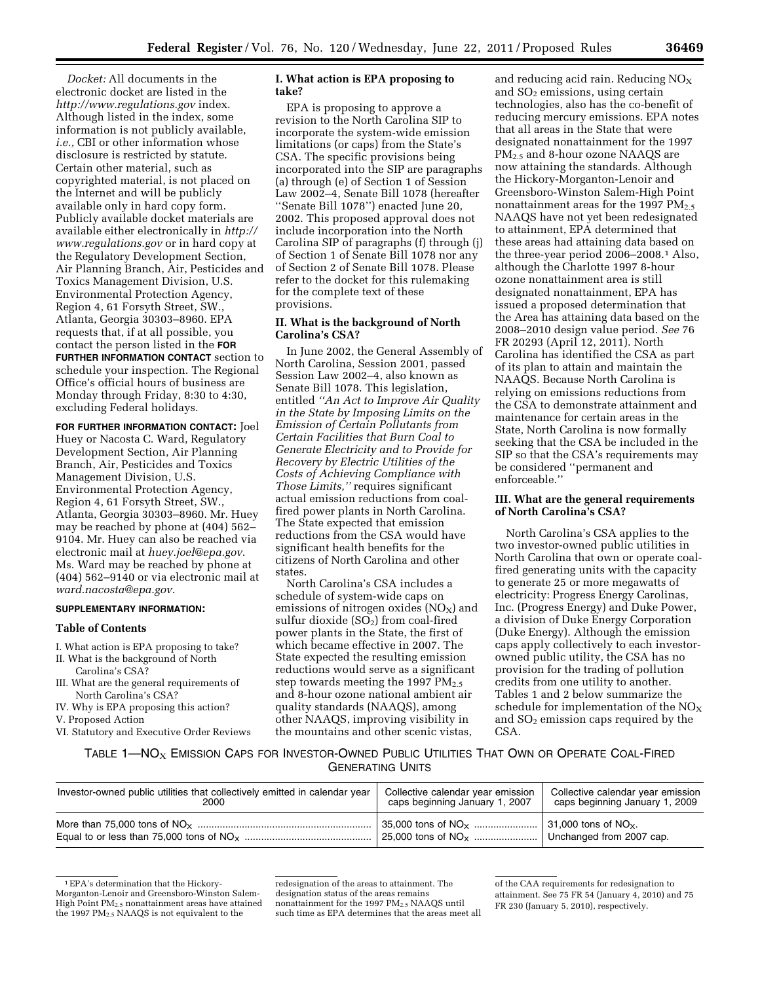*Docket:* All documents in the electronic docket are listed in the *<http://www.regulations.gov>* index. Although listed in the index, some information is not publicly available, *i.e.,* CBI or other information whose disclosure is restricted by statute. Certain other material, such as copyrighted material, is not placed on the Internet and will be publicly available only in hard copy form. Publicly available docket materials are available either electronically in *[http://](http://www.regulations.gov) [www.regulations.gov](http://www.regulations.gov)* or in hard copy at the Regulatory Development Section, Air Planning Branch, Air, Pesticides and Toxics Management Division, U.S. Environmental Protection Agency, Region 4, 61 Forsyth Street, SW., Atlanta, Georgia 30303–8960. EPA requests that, if at all possible, you contact the person listed in the **FOR FURTHER INFORMATION CONTACT** section to schedule your inspection. The Regional

Office's official hours of business are Monday through Friday, 8:30 to 4:30, excluding Federal holidays.

**FOR FURTHER INFORMATION CONTACT:** Joel Huey or Nacosta C. Ward, Regulatory Development Section, Air Planning Branch, Air, Pesticides and Toxics Management Division, U.S. Environmental Protection Agency, Region 4, 61 Forsyth Street, SW., Atlanta, Georgia 30303–8960. Mr. Huey may be reached by phone at (404) 562– 9104. Mr. Huey can also be reached via electronic mail at *[huey.joel@epa.gov](mailto:huey.joel@epa.gov)*. Ms. Ward may be reached by phone at (404) 562–9140 or via electronic mail at *[ward.nacosta@epa.gov](mailto:ward.nacosta@epa.gov)*.

## **SUPPLEMENTARY INFORMATION:**

### **Table of Contents**

- I. What action is EPA proposing to take?
- II. What is the background of North Carolina's CSA?
- III. What are the general requirements of North Carolina's CSA?
- IV. Why is EPA proposing this action?
- V. Proposed Action
- VI. Statutory and Executive Order Reviews

### **I. What action is EPA proposing to take?**

EPA is proposing to approve a revision to the North Carolina SIP to incorporate the system-wide emission limitations (or caps) from the State's CSA. The specific provisions being incorporated into the SIP are paragraphs (a) through (e) of Section 1 of Session Law 2002–4, Senate Bill 1078 (hereafter ''Senate Bill 1078'') enacted June 20, 2002. This proposed approval does not include incorporation into the North Carolina SIP of paragraphs (f) through (j) of Section 1 of Senate Bill 1078 nor any of Section 2 of Senate Bill 1078. Please refer to the docket for this rulemaking for the complete text of these provisions.

### **II. What is the background of North Carolina's CSA?**

In June 2002, the General Assembly of North Carolina, Session 2001, passed Session Law 2002–4, also known as Senate Bill 1078. This legislation, entitled *''An Act to Improve Air Quality in the State by Imposing Limits on the Emission of Certain Pollutants from Certain Facilities that Burn Coal to Generate Electricity and to Provide for Recovery by Electric Utilities of the Costs of Achieving Compliance with Those Limits,''* requires significant actual emission reductions from coalfired power plants in North Carolina. The State expected that emission reductions from the CSA would have significant health benefits for the citizens of North Carolina and other states.

North Carolina's CSA includes a schedule of system-wide caps on emissions of nitrogen oxides  $(NO<sub>x</sub>)$  and sulfur dioxide  $(SO<sub>2</sub>)$  from coal-fired power plants in the State, the first of which became effective in 2007. The State expected the resulting emission reductions would serve as a significant step towards meeting the 1997 PM<sub>2.5</sub> and 8-hour ozone national ambient air quality standards (NAAQS), among other NAAQS, improving visibility in the mountains and other scenic vistas,

and reducing acid rain. Reducing  $NO<sub>x</sub>$ and  $SO<sub>2</sub>$  emissions, using certain technologies, also has the co-benefit of reducing mercury emissions. EPA notes that all areas in the State that were designated nonattainment for the 1997 PM2.5 and 8-hour ozone NAAQS are now attaining the standards. Although the Hickory-Morganton-Lenoir and Greensboro-Winston Salem-High Point nonattainment areas for the 1997  $PM_{2.5}$ NAAQS have not yet been redesignated to attainment, EPA determined that these areas had attaining data based on the three-year period 2006–2008.1 Also, although the Charlotte 1997 8-hour ozone nonattainment area is still designated nonattainment, EPA has issued a proposed determination that the Area has attaining data based on the 2008–2010 design value period. *See* 76 FR 20293 (April 12, 2011). North Carolina has identified the CSA as part of its plan to attain and maintain the NAAQS. Because North Carolina is relying on emissions reductions from the CSA to demonstrate attainment and maintenance for certain areas in the State, North Carolina is now formally seeking that the CSA be included in the SIP so that the CSA's requirements may be considered ''permanent and enforceable.''

### **III. What are the general requirements of North Carolina's CSA?**

North Carolina's CSA applies to the two investor-owned public utilities in North Carolina that own or operate coalfired generating units with the capacity to generate 25 or more megawatts of electricity: Progress Energy Carolinas, Inc. (Progress Energy) and Duke Power, a division of Duke Energy Corporation (Duke Energy). Although the emission caps apply collectively to each investorowned public utility, the CSA has no provision for the trading of pollution credits from one utility to another. Tables 1 and 2 below summarize the schedule for implementation of the  $NO<sub>x</sub>$ and SO2 emission caps required by the CSA.

# TABLE 1—NO<sub>X</sub> EMISSION CAPS FOR INVESTOR-OWNED PUBLIC UTILITIES THAT OWN OR OPERATE COAL-FIRED GENERATING UNITS

| Investor-owned public utilities that collectively emitted in calendar year | Collective calendar year emission            | Collective calendar year emission        |
|----------------------------------------------------------------------------|----------------------------------------------|------------------------------------------|
| 2000                                                                       | caps beginning January 1, 2007               | caps beginning January 1, 2009           |
|                                                                            | $\frac{1}{2}$ 35,000 tons of NO <sub>X</sub> | $\vert$ 31,000 tons of NO <sub>x</sub> . |
|                                                                            | 25,000 tons of $NO_{x}$                      | Unchanged from 2007 cap.                 |

<sup>1</sup>EPA's determination that the Hickory-Morganton-Lenoir and Greensboro-Winston Salem-High Point PM2.5 nonattainment areas have attained the 1997 PM<sub>2.5</sub> NAAQS is not equivalent to the

redesignation of the areas to attainment. The designation status of the areas remains nonattainment for the 1997 PM2.5 NAAQS until such time as EPA determines that the areas meet all

of the CAA requirements for redesignation to attainment. See 75 FR 54 (January 4, 2010) and 75 FR 230 (January 5, 2010), respectively.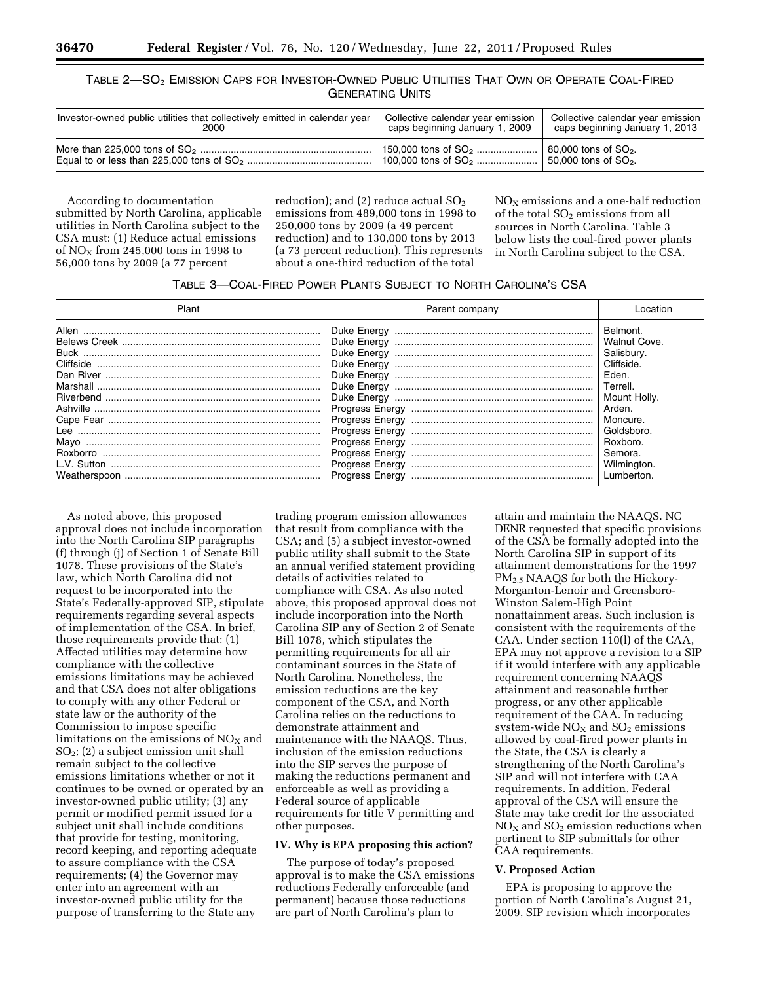# TABLE 2—SO2 EMISSION CAPS FOR INVESTOR-OWNED PUBLIC UTILITIES THAT OWN OR OPERATE COAL-FIRED GENERATING UNITS

| Investor-owned public utilities that collectively emitted in calendar year | Collective calendar year emission | Collective calendar year emission |
|----------------------------------------------------------------------------|-----------------------------------|-----------------------------------|
| 2000                                                                       | caps beginning January 1, 2009    | caps beginning January 1, 2013    |
|                                                                            | 150,000 tons of $SO_2$            | 80,000 tons of SO <sub>2</sub> .  |
|                                                                            |                                   | 150,000 tons of SO <sub>2</sub> . |

According to documentation submitted by North Carolina, applicable utilities in North Carolina subject to the CSA must: (1) Reduce actual emissions of  $NO<sub>X</sub>$  from 245,000 tons in 1998 to 56,000 tons by 2009 (a 77 percent

reduction); and (2) reduce actual  $SO<sub>2</sub>$ emissions from 489,000 tons in 1998 to 250,000 tons by 2009 (a 49 percent reduction) and to 130,000 tons by 2013 (a 73 percent reduction). This represents about a one-third reduction of the total

 $NO<sub>X</sub>$  emissions and a one-half reduction of the total  $SO<sub>2</sub>$  emissions from all sources in North Carolina. Table 3 below lists the coal-fired power plants in North Carolina subject to the CSA.

## TABLE 3—COAL-FIRED POWER PLANTS SUBJECT TO NORTH CAROLINA'S CSA

| Plant                                               | Parent company | Location                                                                                                                                                                                 |
|-----------------------------------------------------|----------------|------------------------------------------------------------------------------------------------------------------------------------------------------------------------------------------|
| Allen<br><b>Buck</b><br>Lee<br>Mavo<br>Weatherspoon |                | Belmont.<br><b>Walnut Cove.</b><br>Salisbury.<br>Cliffside.<br>Eden.<br>Terrell.<br>Mount Holly.<br>Arden.<br>Moncure.<br>Goldsboro.<br>Roxboro.<br>Semora.<br>Wilmington.<br>Lumberton. |

As noted above, this proposed approval does not include incorporation into the North Carolina SIP paragraphs (f) through (j) of Section 1 of Senate Bill 1078. These provisions of the State's law, which North Carolina did not request to be incorporated into the State's Federally-approved SIP, stipulate requirements regarding several aspects of implementation of the CSA. In brief, those requirements provide that: (1) Affected utilities may determine how compliance with the collective emissions limitations may be achieved and that CSA does not alter obligations to comply with any other Federal or state law or the authority of the Commission to impose specific limitations on the emissions of  $NO<sub>x</sub>$  and  $SO<sub>2</sub>$ ; (2) a subject emission unit shall remain subject to the collective emissions limitations whether or not it continues to be owned or operated by an investor-owned public utility; (3) any permit or modified permit issued for a subject unit shall include conditions that provide for testing, monitoring, record keeping, and reporting adequate to assure compliance with the CSA requirements; (4) the Governor may enter into an agreement with an investor-owned public utility for the purpose of transferring to the State any

trading program emission allowances that result from compliance with the CSA; and (5) a subject investor-owned public utility shall submit to the State an annual verified statement providing details of activities related to compliance with CSA. As also noted above, this proposed approval does not include incorporation into the North Carolina SIP any of Section 2 of Senate Bill 1078, which stipulates the permitting requirements for all air contaminant sources in the State of North Carolina. Nonetheless, the emission reductions are the key component of the CSA, and North Carolina relies on the reductions to demonstrate attainment and maintenance with the NAAQS. Thus, inclusion of the emission reductions into the SIP serves the purpose of making the reductions permanent and enforceable as well as providing a Federal source of applicable requirements for title V permitting and other purposes.

## **IV. Why is EPA proposing this action?**

The purpose of today's proposed approval is to make the CSA emissions reductions Federally enforceable (and permanent) because those reductions are part of North Carolina's plan to

attain and maintain the NAAQS. NC DENR requested that specific provisions of the CSA be formally adopted into the North Carolina SIP in support of its attainment demonstrations for the 1997 PM2.5 NAAQS for both the Hickory-Morganton-Lenoir and Greensboro-Winston Salem-High Point nonattainment areas. Such inclusion is consistent with the requirements of the CAA. Under section 110(l) of the CAA, EPA may not approve a revision to a SIP if it would interfere with any applicable requirement concerning NAAQS attainment and reasonable further progress, or any other applicable requirement of the CAA. In reducing system-wide  $NO<sub>X</sub>$  and  $SO<sub>2</sub>$  emissions allowed by coal-fired power plants in the State, the CSA is clearly a strengthening of the North Carolina's SIP and will not interfere with CAA requirements. In addition, Federal approval of the CSA will ensure the State may take credit for the associated  $NO<sub>X</sub>$  and  $SO<sub>2</sub>$  emission reductions when pertinent to SIP submittals for other CAA requirements.

#### **V. Proposed Action**

EPA is proposing to approve the portion of North Carolina's August 21, 2009, SIP revision which incorporates